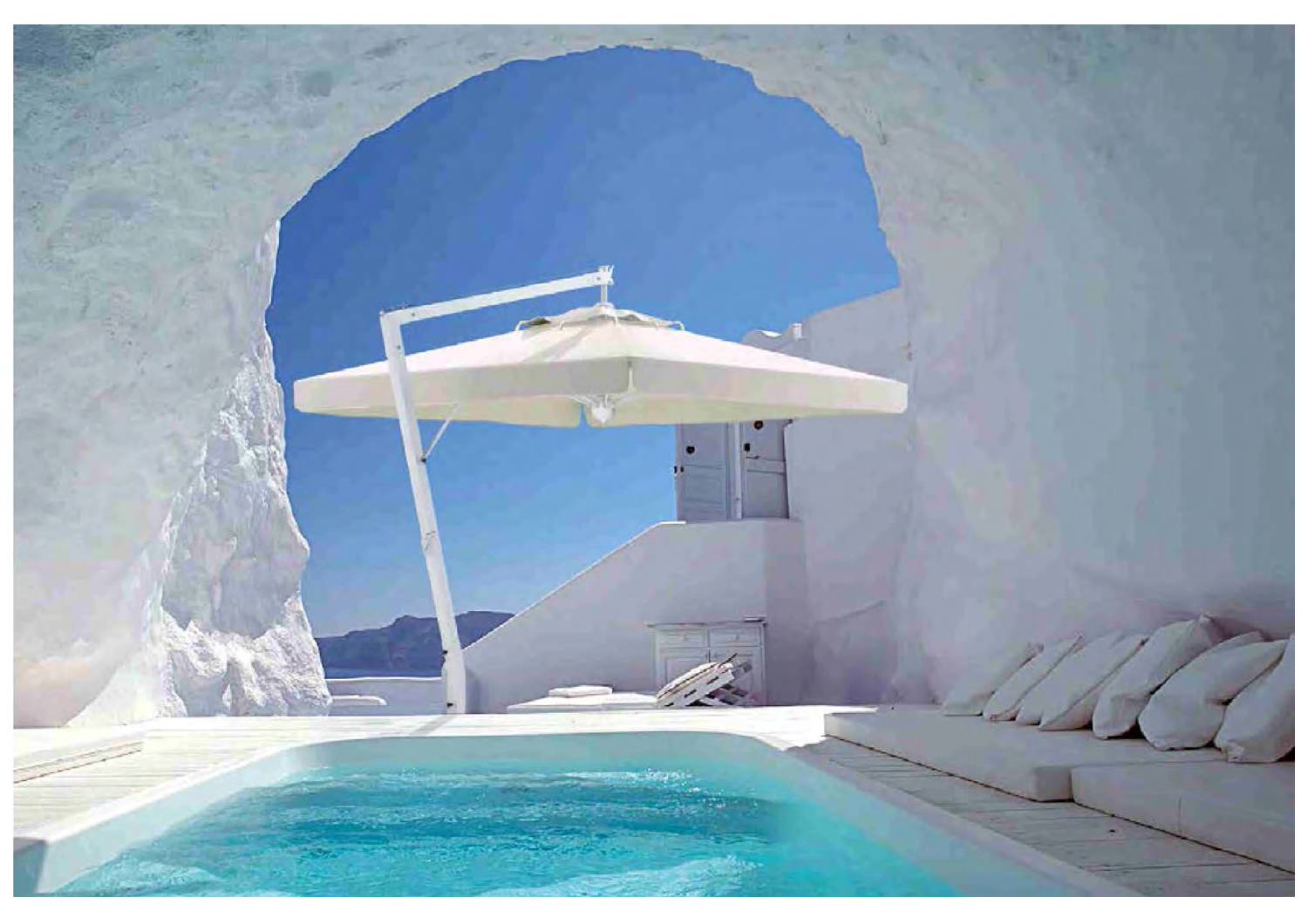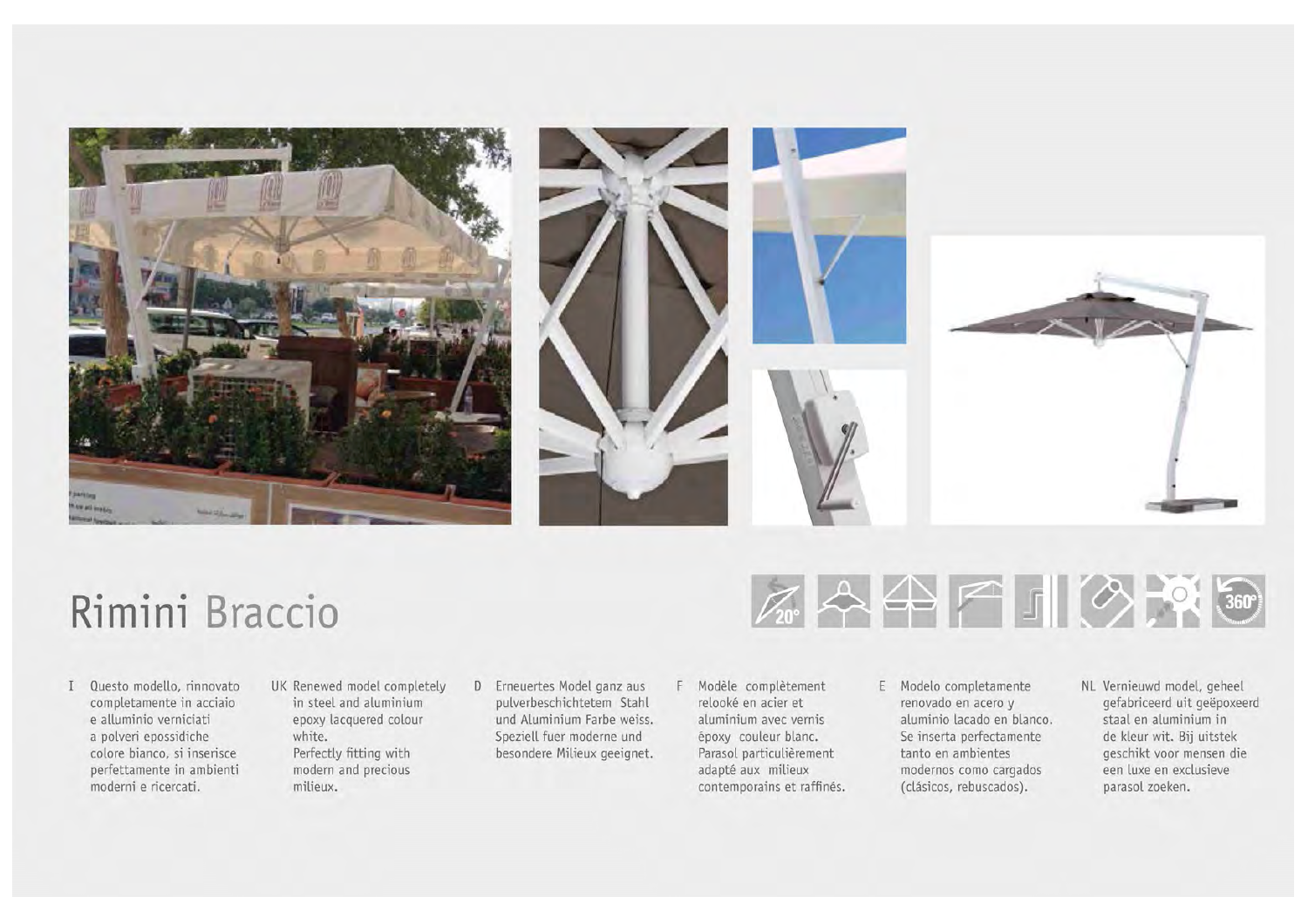

## Rimini Braccio

- I Questo modello, rinnovato completamente in acciaio e alluminio verniciati a polveri epossidiche colore bianco, si inserisce perfettamente in ambienti moderni e ricercati.
- UK Renewed model completely in steel and aluminium epoxy lacquered colour white. Perfectly fitting with modern and precious milieux.
- D Erneuertes Model ganz aus pulverbeschichtetem Stahl und Aluminium Farbe weiss. Speziell fuer moderne und besondere Milieux geeignet.
- 不今千日少好的
- F Modèle complètement relooké en acier et aluminium avec vernis époxy couleur blanc. Parasol particulièrement adapté aux milieux contemporains et raffinés.
- E Modelo completamente renovado en acero y aluminio lacado en blanco. Se inserta perfectamente tanto en ambientes modernos como cargados (clásicos, rebuscados).
- NL Vernieuwd model, geheel gefabriceerd uit geëpoxeerd staal en aluminium in de kleur wit. Bij uitstek geschikt voor mensen die een luxe en exclusieve parasol zoeken.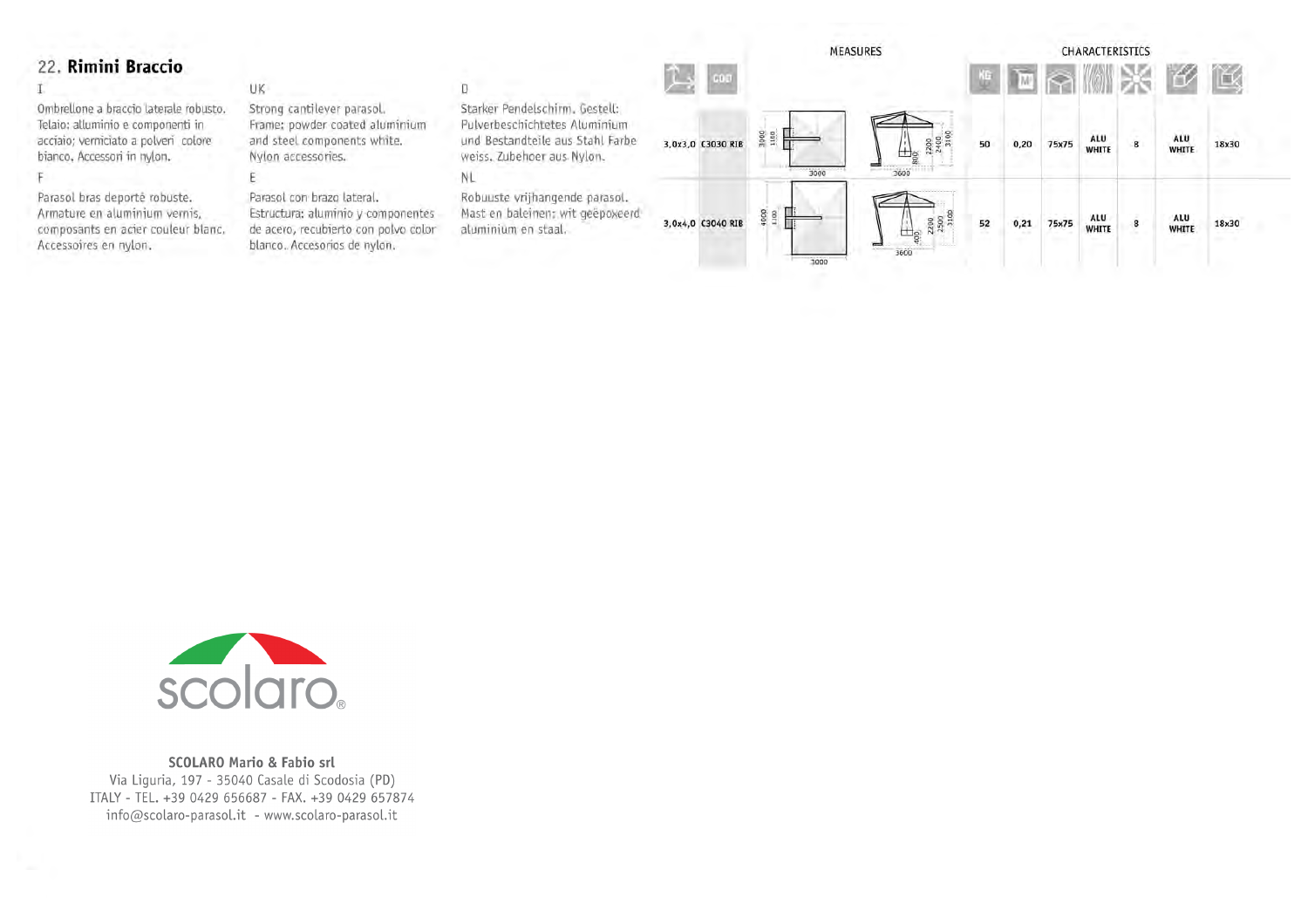## **MEASURES** CHARACTERISTICS 22. Rimini Braccio 丽 8 řί UK  $\overline{D}$ Strong cantilever parasol. Ombrellone a braccio laterale robusto. Starker Pendelschirm, Gestell: Telaio: alluminio e componenti in Frame: powder coated aluminium Pulverbeschichtetes Aluminium 3000<br>1100 und Bestandteile aus Stahl Farbe ALU<br>WHITE ALU acciaio; verniciato a polveri colore and steel components white. 3,0x3,0 C3030 RIB 50 0,20 75x75 8 18×30 WHITE bianco. Accessori in nylon. Nylon accessories. weiss. Zubehoer aus Nylon. 3000 F E **NL** Parasol bras deporté robuste. Robuuste vrijhangende parasol. Parasol con brazo lateral. Armature en aluminium vernis, Estructura: alumínio y componentes Mast en baleinen: wit geëpoxeerd  $\begin{array}{c}\n 0.000 \\
\underline{0.000}\n \end{array}$ **ALU**<br>WHITE ALU 3,0x4,0 C3040 RIB  $52$ 0,21 75x75 8 18×30 aluminium en staal. composants en acier couleur blanc. de acero, recubierto con polvo color **WHITE** Accessoires en nylon. blanco. Accesorios de nylon. 3000



**SCOLARO Mario & Fabio srl** Via Liguria, 197 - 35040 Casale di Scodosia (PD) ITALY - TEL. +39 0429 656687 - FAX. +39 0429 657874 info@scolaro-parasol.it - www.scolaro-parasol.it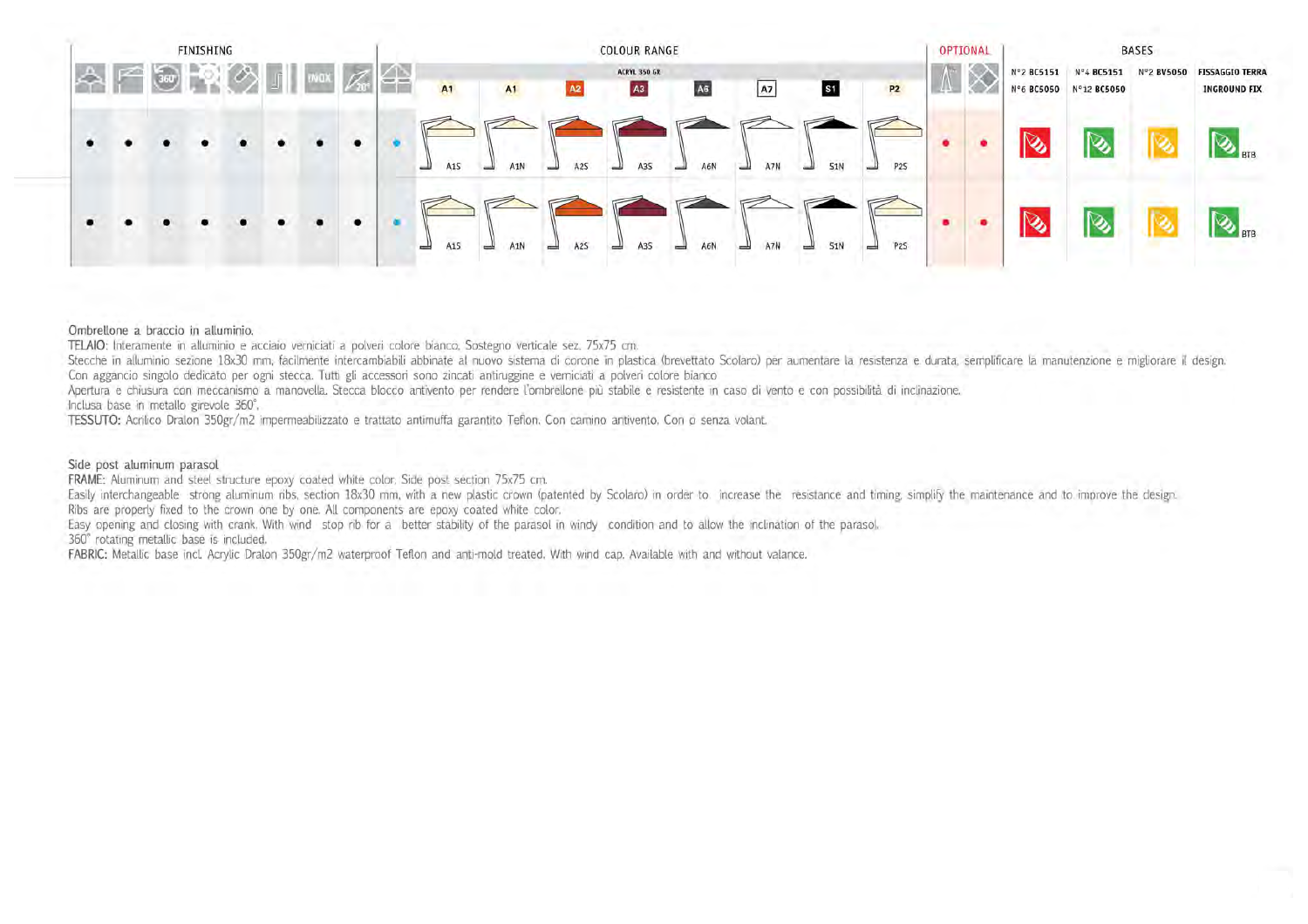

## Ombrellone a braccio in alluminio.

TELAIO: Interamente in alluminio e acciaio verniciati a polveri colore bianco. Sostegno verticale sez. 75x75 cm.

Stecche in alluminio sezione 18x30 mm, facilmente intercambiabili abbinate al nuovo sistema di corone in plastica (brevettato Scolaro) per aumentare la resistenza e durata, semplificare la manutenzione e migliorare il desi Con aggancio singolo dedicato per ogni stecca. Tutti gli accessori sono zincati antiruggine e verniciati a polveri colore bianco

Apertura e chiusura con meccanismo a manovella. Stecca blocco antivento per rendere l'ombrellone più stabile e resistente in caso di vento e con possibilità di inclinazione. Inclusa base in metallo girevole 360°,

TESSUTO: Acrilico Dralon 350gr/m2 impermeabilizzato e trattato antimuffa garantito Teflon. Con camino antivento. Con o senza volant.

## Side post aluminum parasol

FRAME: Aluminum and steel structure epoxy coated white color. Side post section 75x75 cm.

Easily interchangeable strong aluminum ribs, section 18x30 mm, with a new plastic crown (patented by Scolaro) in order to increase the resistance and timing, simplify the maintenance and to improve the design Ribs are properly fixed to the crown one by one. All components are epoxy coated white color.

Easy opening and closing with crank. With wind stop rib for a better stability of the parasol in windy condition and to allow the inclination of the parasol.

360° rotating metallic base is included.

FABRIC: Metallic base incl. Acrylic Dralon 350gr/m2 waterproof Teflon and anti-mold treated. With wind cap. Available with and without valance.